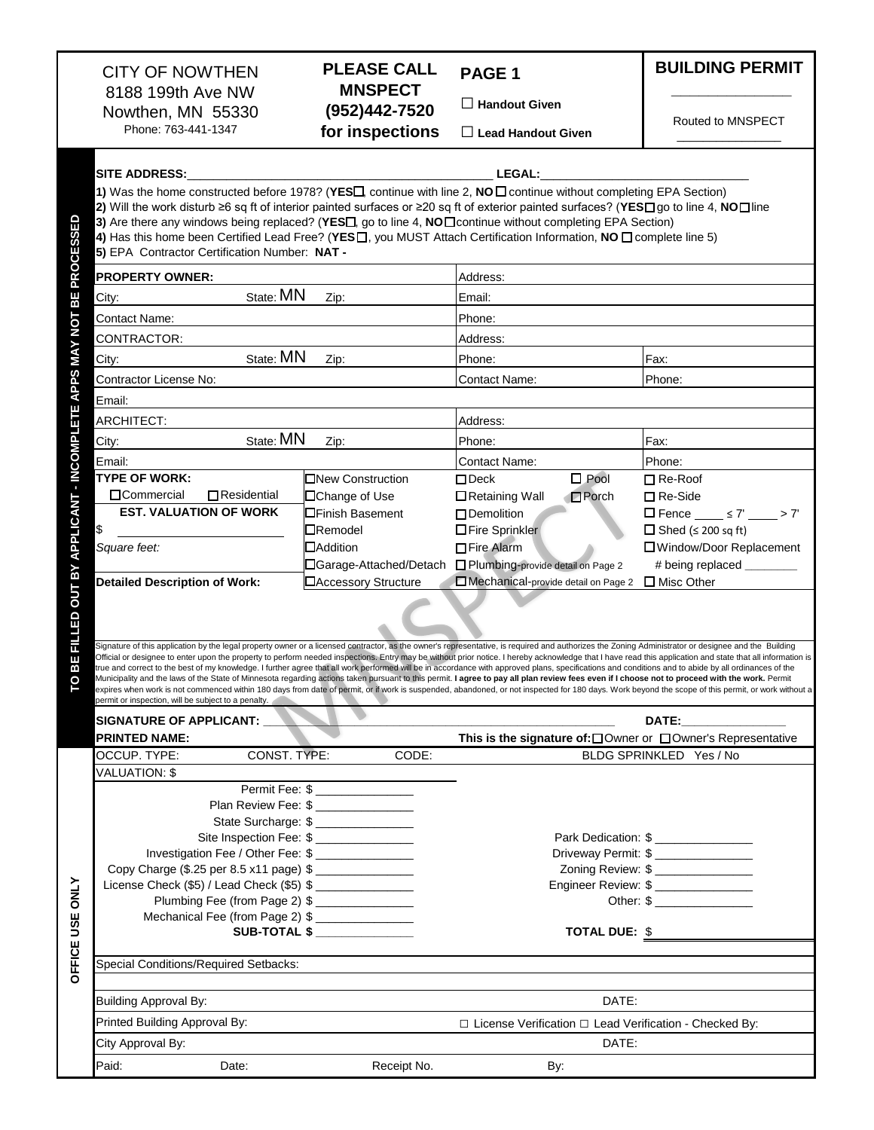|                                                   | <b>CITY OF NOWTHEN</b><br>8188 199th Ave NW                                                                                                                                                                                                                                                                                                                                                                                                                                                                                                                                                                                                                                                                                                                                                                                                                                                                                                                                                                                                                                              | <b>PLEASE CALL</b><br><b>MNSPECT</b>                  | PAGE <sub>1</sub>                                             | <b>BUILDING PERMIT</b>                |  |
|---------------------------------------------------|------------------------------------------------------------------------------------------------------------------------------------------------------------------------------------------------------------------------------------------------------------------------------------------------------------------------------------------------------------------------------------------------------------------------------------------------------------------------------------------------------------------------------------------------------------------------------------------------------------------------------------------------------------------------------------------------------------------------------------------------------------------------------------------------------------------------------------------------------------------------------------------------------------------------------------------------------------------------------------------------------------------------------------------------------------------------------------------|-------------------------------------------------------|---------------------------------------------------------------|---------------------------------------|--|
|                                                   | Nowthen, MN 55330                                                                                                                                                                                                                                                                                                                                                                                                                                                                                                                                                                                                                                                                                                                                                                                                                                                                                                                                                                                                                                                                        | (952)442-7520                                         | $\Box$ Handout Given                                          |                                       |  |
|                                                   | Phone: 763-441-1347                                                                                                                                                                                                                                                                                                                                                                                                                                                                                                                                                                                                                                                                                                                                                                                                                                                                                                                                                                                                                                                                      | for inspections                                       | $\Box$ Lead Handout Given                                     | Routed to MNSPECT                     |  |
|                                                   | <b>SITE ADDRESS:</b><br>1) Was the home constructed before 1978? (YES , continue with line 2, NO<br><br>D continue without completing EPA Section)                                                                                                                                                                                                                                                                                                                                                                                                                                                                                                                                                                                                                                                                                                                                                                                                                                                                                                                                       |                                                       | <b>LEGAL:</b>                                                 |                                       |  |
| <b>BE PROCESSED</b>                               | 2) Will the work disturb ≥6 sq ft of interior painted surfaces or ≥20 sq ft of exterior painted surfaces? (YES□go to line 4, NO□line<br>3) Are there any windows being replaced? (YESI, go to line 4, NO I continue without completing EPA Section)<br>4) Has this home been Certified Lead Free? (YESO, you MUST Attach Certification Information, NO O complete line 5)<br>5) EPA Contractor Certification Number: NAT -                                                                                                                                                                                                                                                                                                                                                                                                                                                                                                                                                                                                                                                               |                                                       |                                                               |                                       |  |
|                                                   | <b>PROPERTY OWNER:</b>                                                                                                                                                                                                                                                                                                                                                                                                                                                                                                                                                                                                                                                                                                                                                                                                                                                                                                                                                                                                                                                                   |                                                       | Address:                                                      |                                       |  |
|                                                   | State: MN<br>City:                                                                                                                                                                                                                                                                                                                                                                                                                                                                                                                                                                                                                                                                                                                                                                                                                                                                                                                                                                                                                                                                       | Zip:                                                  | Email:                                                        |                                       |  |
|                                                   | <b>Contact Name:</b>                                                                                                                                                                                                                                                                                                                                                                                                                                                                                                                                                                                                                                                                                                                                                                                                                                                                                                                                                                                                                                                                     |                                                       | Phone:                                                        |                                       |  |
|                                                   | CONTRACTOR:                                                                                                                                                                                                                                                                                                                                                                                                                                                                                                                                                                                                                                                                                                                                                                                                                                                                                                                                                                                                                                                                              |                                                       | Address:                                                      |                                       |  |
|                                                   | State: MN<br>City:                                                                                                                                                                                                                                                                                                                                                                                                                                                                                                                                                                                                                                                                                                                                                                                                                                                                                                                                                                                                                                                                       | Zip:                                                  | Phone:                                                        | Fax:                                  |  |
|                                                   | Contractor License No:                                                                                                                                                                                                                                                                                                                                                                                                                                                                                                                                                                                                                                                                                                                                                                                                                                                                                                                                                                                                                                                                   |                                                       | <b>Contact Name:</b>                                          | Phone:                                |  |
|                                                   | Email:                                                                                                                                                                                                                                                                                                                                                                                                                                                                                                                                                                                                                                                                                                                                                                                                                                                                                                                                                                                                                                                                                   |                                                       |                                                               |                                       |  |
|                                                   | <b>ARCHITECT:</b>                                                                                                                                                                                                                                                                                                                                                                                                                                                                                                                                                                                                                                                                                                                                                                                                                                                                                                                                                                                                                                                                        |                                                       | Address:                                                      |                                       |  |
|                                                   | State: MN<br>City:                                                                                                                                                                                                                                                                                                                                                                                                                                                                                                                                                                                                                                                                                                                                                                                                                                                                                                                                                                                                                                                                       | Zip:                                                  | Phone:                                                        | Fax:                                  |  |
|                                                   | Email:                                                                                                                                                                                                                                                                                                                                                                                                                                                                                                                                                                                                                                                                                                                                                                                                                                                                                                                                                                                                                                                                                   |                                                       | <b>Contact Name:</b>                                          | Phone:                                |  |
|                                                   | <b>TYPE OF WORK:</b>                                                                                                                                                                                                                                                                                                                                                                                                                                                                                                                                                                                                                                                                                                                                                                                                                                                                                                                                                                                                                                                                     | <b>□</b> New Construction                             | $\square$ Pool<br>$\Box$ Deck                                 | $\Box$ Re-Roof                        |  |
|                                                   | □Commercial<br>$\Box$ Residential                                                                                                                                                                                                                                                                                                                                                                                                                                                                                                                                                                                                                                                                                                                                                                                                                                                                                                                                                                                                                                                        | □Change of Use                                        | □ Retaining Wall<br>$\Box$ Porch                              | $\Box$ Re-Side                        |  |
|                                                   | <b>EST. VALUATION OF WORK</b>                                                                                                                                                                                                                                                                                                                                                                                                                                                                                                                                                                                                                                                                                                                                                                                                                                                                                                                                                                                                                                                            | <b>OFinish Basement</b>                               | $\Box$ Demolition                                             | $\Box$ Fence $\angle$ 57' $\angle$ 7' |  |
|                                                   | \$                                                                                                                                                                                                                                                                                                                                                                                                                                                                                                                                                                                                                                                                                                                                                                                                                                                                                                                                                                                                                                                                                       | $\Box$ Remodel                                        | □Fire Sprinkler                                               | $\Box$ Shed ( $\leq$ 200 sq ft)       |  |
|                                                   | Square feet:                                                                                                                                                                                                                                                                                                                                                                                                                                                                                                                                                                                                                                                                                                                                                                                                                                                                                                                                                                                                                                                                             | $\Box$ Addition                                       | □ Fire Alarm                                                  | □ Window/Door Replacement             |  |
|                                                   |                                                                                                                                                                                                                                                                                                                                                                                                                                                                                                                                                                                                                                                                                                                                                                                                                                                                                                                                                                                                                                                                                          | □Garage-Attached/Detach                               | Plumbing-provide detail on Page 2                             | # being replaced ________             |  |
|                                                   | <b>Detailed Description of Work:</b>                                                                                                                                                                                                                                                                                                                                                                                                                                                                                                                                                                                                                                                                                                                                                                                                                                                                                                                                                                                                                                                     | <b>□Accessory Structure</b>                           | Mechanical-provide detail on Page 2                           | $\Box$ Misc Other                     |  |
| FILLED OUT BY APPLICANT - INCOMPLETE APPS MAY NOT |                                                                                                                                                                                                                                                                                                                                                                                                                                                                                                                                                                                                                                                                                                                                                                                                                                                                                                                                                                                                                                                                                          |                                                       |                                                               |                                       |  |
|                                                   |                                                                                                                                                                                                                                                                                                                                                                                                                                                                                                                                                                                                                                                                                                                                                                                                                                                                                                                                                                                                                                                                                          |                                                       |                                                               |                                       |  |
| ш<br>B                                            | Signature of this application by the legal property owner or a licensed contractor, as the owner's representative, is required and authorizes the Zoning Administrator or designee and the Building<br>Official or designee to enter upon the property to perform needed inspections. Entry may be without prior notice. I hereby acknowledge that I have read this application and state that all information is<br>true and correct to the best of my knowledge. I further agree that all work performed will be in accordance with approved plans, specifications and conditions and to abide by all ordinances of the<br>Aunicipality and the laws of the State of Minnesota regarding actions taken pursuant to this permit. I agree to pay all plan review fees even if I choose not to proceed with the work. Permit<br>expires when work is not commenced within 180 days from date of permit, or if work is suspended, abandoned, or not inspected for 180 days. Work beyond the scope of this permit, or work without a<br>permit or inspection, will be subiect to a penalty. |                                                       |                                                               |                                       |  |
|                                                   | <b>SIGNATURE OF APPLICANT:</b>                                                                                                                                                                                                                                                                                                                                                                                                                                                                                                                                                                                                                                                                                                                                                                                                                                                                                                                                                                                                                                                           |                                                       |                                                               | <b>DATE:</b>                          |  |
|                                                   | <b>PRINTED NAME:</b>                                                                                                                                                                                                                                                                                                                                                                                                                                                                                                                                                                                                                                                                                                                                                                                                                                                                                                                                                                                                                                                                     |                                                       | This is the signature of: □ Owner or □ Owner's Representative |                                       |  |
|                                                   | CONST. TYPE:<br>OCCUP. TYPE:                                                                                                                                                                                                                                                                                                                                                                                                                                                                                                                                                                                                                                                                                                                                                                                                                                                                                                                                                                                                                                                             | CODE:                                                 |                                                               | BLDG SPRINKLED Yes / No               |  |
|                                                   | <b>VALUATION: \$</b>                                                                                                                                                                                                                                                                                                                                                                                                                                                                                                                                                                                                                                                                                                                                                                                                                                                                                                                                                                                                                                                                     |                                                       |                                                               |                                       |  |
|                                                   |                                                                                                                                                                                                                                                                                                                                                                                                                                                                                                                                                                                                                                                                                                                                                                                                                                                                                                                                                                                                                                                                                          | Permit Fee: \$<br>Plan Review Fee: \$ _______________ |                                                               |                                       |  |
|                                                   |                                                                                                                                                                                                                                                                                                                                                                                                                                                                                                                                                                                                                                                                                                                                                                                                                                                                                                                                                                                                                                                                                          | State Surcharge: \$                                   |                                                               |                                       |  |
|                                                   | Site Inspection Fee: \$                                                                                                                                                                                                                                                                                                                                                                                                                                                                                                                                                                                                                                                                                                                                                                                                                                                                                                                                                                                                                                                                  |                                                       |                                                               | Park Dedication: \$                   |  |
|                                                   | Investigation Fee / Other Fee: \$                                                                                                                                                                                                                                                                                                                                                                                                                                                                                                                                                                                                                                                                                                                                                                                                                                                                                                                                                                                                                                                        |                                                       |                                                               | Driveway Permit: \$                   |  |
|                                                   | Copy Charge (\$.25 per 8.5 x11 page) \$                                                                                                                                                                                                                                                                                                                                                                                                                                                                                                                                                                                                                                                                                                                                                                                                                                                                                                                                                                                                                                                  |                                                       |                                                               | Zoning Review: \$ _______________     |  |
| OFFICE USE ONLY                                   | License Check (\$5) / Lead Check (\$5) \$                                                                                                                                                                                                                                                                                                                                                                                                                                                                                                                                                                                                                                                                                                                                                                                                                                                                                                                                                                                                                                                |                                                       |                                                               | Engineer Review: \$                   |  |
|                                                   | Plumbing Fee (from Page 2) \$<br>Mechanical Fee (from Page 2) \$                                                                                                                                                                                                                                                                                                                                                                                                                                                                                                                                                                                                                                                                                                                                                                                                                                                                                                                                                                                                                         |                                                       |                                                               | Other: \$                             |  |
|                                                   |                                                                                                                                                                                                                                                                                                                                                                                                                                                                                                                                                                                                                                                                                                                                                                                                                                                                                                                                                                                                                                                                                          | <b>SUB-TOTAL \$</b>                                   |                                                               | <b>TOTAL DUE:</b> \$                  |  |
|                                                   |                                                                                                                                                                                                                                                                                                                                                                                                                                                                                                                                                                                                                                                                                                                                                                                                                                                                                                                                                                                                                                                                                          |                                                       |                                                               |                                       |  |
|                                                   | Special Conditions/Required Setbacks:                                                                                                                                                                                                                                                                                                                                                                                                                                                                                                                                                                                                                                                                                                                                                                                                                                                                                                                                                                                                                                                    |                                                       |                                                               |                                       |  |
|                                                   | <b>Building Approval By:</b>                                                                                                                                                                                                                                                                                                                                                                                                                                                                                                                                                                                                                                                                                                                                                                                                                                                                                                                                                                                                                                                             |                                                       | DATE:                                                         |                                       |  |
|                                                   |                                                                                                                                                                                                                                                                                                                                                                                                                                                                                                                                                                                                                                                                                                                                                                                                                                                                                                                                                                                                                                                                                          |                                                       |                                                               |                                       |  |
|                                                   | Printed Building Approval By:                                                                                                                                                                                                                                                                                                                                                                                                                                                                                                                                                                                                                                                                                                                                                                                                                                                                                                                                                                                                                                                            |                                                       | □ License Verification □ Lead Verification - Checked By:      |                                       |  |
|                                                   | City Approval By:                                                                                                                                                                                                                                                                                                                                                                                                                                                                                                                                                                                                                                                                                                                                                                                                                                                                                                                                                                                                                                                                        |                                                       | DATE:                                                         |                                       |  |
|                                                   | Paid:<br>Date:                                                                                                                                                                                                                                                                                                                                                                                                                                                                                                                                                                                                                                                                                                                                                                                                                                                                                                                                                                                                                                                                           | Receipt No.                                           | By:                                                           |                                       |  |